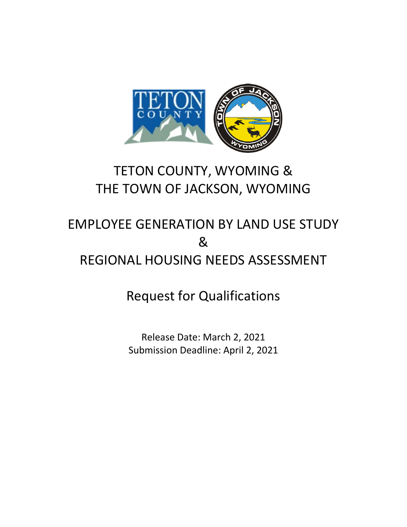

# TETON COUNTY, WYOMING & THE TOWN OF JACKSON, WYOMING

# EMPLOYEE GENERATION BY LAND USE STUDY & REGIONAL HOUSING NEEDS ASSESSMENT

Request for Qualifications

Release Date: March 2, 2021 Submission Deadline: April 2, 2021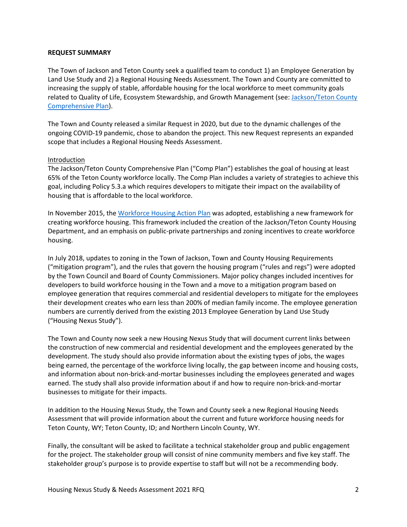#### **REQUEST SUMMARY**

The Town of Jackson and Teton County seek a qualified team to conduct 1) an Employee Generation by Land Use Study and 2) a Regional Housing Needs Assessment. The Town and County are committed to increasing the supply of stable, affordable housing for the local workforce to meet community goals related to Quality of Life, Ecosystem Stewardship, and Growth Management (see: Jackson/Teton County [Comprehensive Plan\)](http://jacksontetonplan.com/270/Comprehensive-Plan).

The Town and County released a similar Request in 2020, but due to the dynamic challenges of the ongoing COVID-19 pandemic, chose to abandon the project. This new Request represents an expanded scope that includes a Regional Housing Needs Assessment.

#### Introduction

The Jackson/Teton County Comprehensive Plan ("Comp Plan") establishes the goal of housing at least 65% of the Teton County workforce locally. The Comp Plan includes a variety of strategies to achieve this goal, including Policy 5.3.a which requires developers to mitigate their impact on the availability of housing that is affordable to the local workforce.

In November 2015, th[e Workforce Housing Action Plan](http://jacksontetonplan.com/DocumentCenter/View/513/Workforce-Housing-Action-Plan-November-2015-PDF) was adopted, establishing a new framework for creating workforce housing. This framework included the creation of the Jackson/Teton County Housing Department, and an emphasis on public-private partnerships and zoning incentives to create workforce housing.

In July 2018, updates to zoning in the Town of Jackson, Town and County Housing Requirements ("mitigation program"), and the rules that govern the housing program ("rules and regs") were adopted by the Town Council and Board of County Commissioners. Major policy changes included incentives for developers to build workforce housing in the Town and a move to a mitigation program based on employee generation that requires commercial and residential developers to mitigate for the employees their development creates who earn less than 200% of median family income. The employee generation numbers are currently derived from the existing 2013 Employee Generation by Land Use Study ("Housing Nexus Study").

The Town and County now seek a new Housing Nexus Study that will document current links between the construction of new commercial and residential development and the employees generated by the development. The study should also provide information about the existing types of jobs, the wages being earned, the percentage of the workforce living locally, the gap between income and housing costs, and information about non-brick-and-mortar businesses including the employees generated and wages earned. The study shall also provide information about if and how to require non-brick-and-mortar businesses to mitigate for their impacts.

In addition to the Housing Nexus Study, the Town and County seek a new Regional Housing Needs Assessment that will provide information about the current and future workforce housing needs for Teton County, WY; Teton County, ID; and Northern Lincoln County, WY.

Finally, the consultant will be asked to facilitate a technical stakeholder group and public engagement for the project. The stakeholder group will consist of nine community members and five key staff. The stakeholder group's purpose is to provide expertise to staff but will not be a recommending body.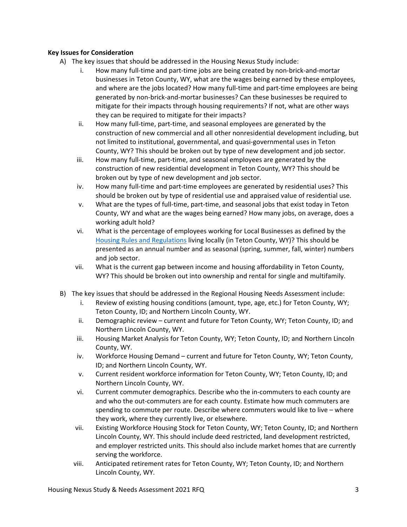## **Key Issues for Consideration**

- A) The key issues that should be addressed in the Housing Nexus Study include:
	- i. How many full-time and part-time jobs are being created by non-brick-and-mortar businesses in Teton County, WY, what are the wages being earned by these employees, and where are the jobs located? How many full-time and part-time employees are being generated by non-brick-and-mortar businesses? Can these businesses be required to mitigate for their impacts through housing requirements? If not, what are other ways they can be required to mitigate for their impacts?
	- ii. How many full-time, part-time, and seasonal employees are generated by the construction of new commercial and all other nonresidential development including, but not limited to institutional, governmental, and quasi-governmental uses in Teton County, WY? This should be broken out by type of new development and job sector.
	- iii. How many full-time, part-time, and seasonal employees are generated by the construction of new residential development in Teton County, WY? This should be broken out by type of new development and job sector.
	- iv. How many full-time and part-time employees are generated by residential uses? This should be broken out by type of residential use and appraised value of residential use.
	- v. What are the types of full-time, part-time, and seasonal jobs that exist today in Teton County, WY and what are the wages being earned? How many jobs, on average, does a working adult hold?
	- vi. What is the percentage of employees working for Local Businesses as defined by the [Housing Rules and Regulations](http://jhaffordablehousing.org/1790/Housing-Department-Rules-Regulations) living locally (in Teton County, WY)? This should be presented as an annual number and as seasonal (spring, summer, fall, winter) numbers and job sector.
	- vii. What is the current gap between income and housing affordability in Teton County, WY? This should be broken out into ownership and rental for single and multifamily.
- B) The key issues that should be addressed in the Regional Housing Needs Assessment include:
	- i. Review of existing housing conditions (amount, type, age, etc.) for Teton County, WY; Teton County, ID; and Northern Lincoln County, WY.
	- ii. Demographic review current and future for Teton County, WY; Teton County, ID; and Northern Lincoln County, WY.
	- iii. Housing Market Analysis for Teton County, WY; Teton County, ID; and Northern Lincoln County, WY.
	- iv. Workforce Housing Demand current and future for Teton County, WY; Teton County, ID; and Northern Lincoln County, WY.
	- v. Current resident workforce information for Teton County, WY; Teton County, ID; and Northern Lincoln County, WY.
	- vi. Current commuter demographics. Describe who the in-commuters to each county are and who the out-commuters are for each county. Estimate how much commuters are spending to commute per route. Describe where commuters would like to live – where they work, where they currently live, or elsewhere.
	- vii. Existing Workforce Housing Stock for Teton County, WY; Teton County, ID; and Northern Lincoln County, WY. This should include deed restricted, land development restricted, and employer restricted units. This should also include market homes that are currently serving the workforce.
	- viii. Anticipated retirement rates for Teton County, WY; Teton County, ID; and Northern Lincoln County, WY.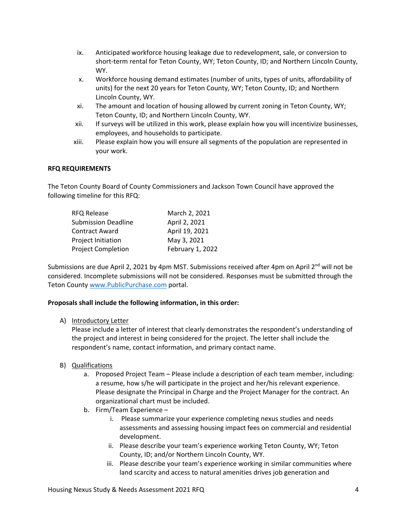- ix. Anticipated workforce housing leakage due to redevelopment, sale, or conversion to short-term rental for Teton County, WY; Teton County, ID; and Northern Lincoln County, WY.
- x. Workforce housing demand estimates (number of units, types of units, affordability of units) for the next 20 years for Teton County, WY; Teton County, ID; and Northern Lincoln County, WY.
- xi. The amount and location of housing allowed by current zoning in Teton County, WY; Teton County, ID; and Northern Lincoln County, WY.
- xii. If surveys will be utilized in this work, please explain how you will incentivize businesses, employees, and households to participate.
- xiii. Please explain how you will ensure all segments of the population are represented in your work.

### **RFQ REQUIREMENTS**

The Teton County Board of County Commissioners and Jackson Town Council have approved the following timeline for this RFQ:

| <b>RFQ Release</b>         | March 2, 2021    |
|----------------------------|------------------|
| <b>Submission Deadline</b> | April 2, 2021    |
| <b>Contract Award</b>      | April 19, 2021   |
| Project Initiation         | May 3, 2021      |
| <b>Project Completion</b>  | February 1, 2022 |

Submissions are due April 2, 2021 by 4pm MST. Submissions received after 4pm on April 2<sup>nd</sup> will not be considered. Incomplete submissions will not be considered. Responses must be submitted through the Teton County [www.PublicPurchase.com](http://www.publicpurchase.com/) portal.

### **Proposals shall include the following information, in this order:**

#### A) Introductory Letter

Please include a letter of interest that clearly demonstrates the respondent's understanding of the project and interest in being considered for the project. The letter shall include the respondent's name, contact information, and primary contact name.

### B) Qualifications

- a. Proposed Project Team Please include a description of each team member, including: a resume, how s/he will participate in the project and her/his relevant experience. Please designate the Principal in Charge and the Project Manager for the contract. An organizational chart must be included.
- b. Firm/Team Experience
	- i. Please summarize your experience completing nexus studies and needs assessments and assessing housing impact fees on commercial and residential development.
	- ii. Please describe your team's experience working Teton County, WY; Teton County, ID; and/or Northern Lincoln County, WY.
	- iii. Please describe your team's experience working in similar communities where land scarcity and access to natural amenities drives job generation and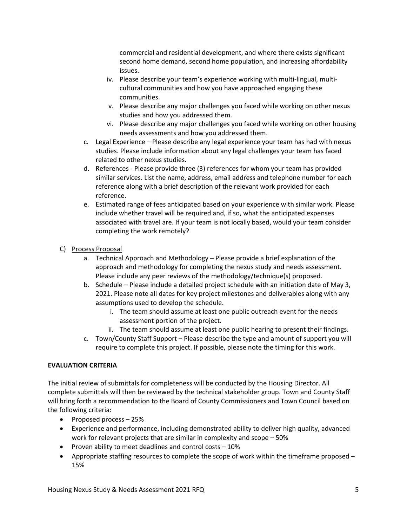commercial and residential development, and where there exists significant second home demand, second home population, and increasing affordability issues.

- iv. Please describe your team's experience working with multi-lingual, multicultural communities and how you have approached engaging these communities.
- v. Please describe any major challenges you faced while working on other nexus studies and how you addressed them.
- vi. Please describe any major challenges you faced while working on other housing needs assessments and how you addressed them.
- c. Legal Experience Please describe any legal experience your team has had with nexus studies. Please include information about any legal challenges your team has faced related to other nexus studies.
- d. References Please provide three (3) references for whom your team has provided similar services. List the name, address, email address and telephone number for each reference along with a brief description of the relevant work provided for each reference.
- e. Estimated range of fees anticipated based on your experience with similar work. Please include whether travel will be required and, if so, what the anticipated expenses associated with travel are. If your team is not locally based, would your team consider completing the work remotely?
- C) Process Proposal
	- a. Technical Approach and Methodology Please provide a brief explanation of the approach and methodology for completing the nexus study and needs assessment. Please include any peer reviews of the methodology/technique(s) proposed.
	- b. Schedule Please include a detailed project schedule with an initiation date of May 3, 2021. Please note all dates for key project milestones and deliverables along with any assumptions used to develop the schedule.
		- i. The team should assume at least one public outreach event for the needs assessment portion of the project.
		- ii. The team should assume at least one public hearing to present their findings.
	- c. Town/County Staff Support Please describe the type and amount of support you will require to complete this project. If possible, please note the timing for this work.

# **EVALUATION CRITERIA**

The initial review of submittals for completeness will be conducted by the Housing Director. All complete submittals will then be reviewed by the technical stakeholder group. Town and County Staff will bring forth a recommendation to the Board of County Commissioners and Town Council based on the following criteria:

- Proposed process 25%
- Experience and performance, including demonstrated ability to deliver high quality, advanced work for relevant projects that are similar in complexity and scope – 50%
- Proven ability to meet deadlines and control costs 10%
- Appropriate staffing resources to complete the scope of work within the timeframe proposed 15%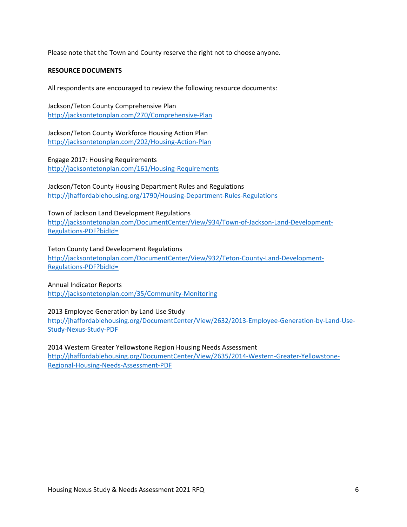Please note that the Town and County reserve the right not to choose anyone.

#### **RESOURCE DOCUMENTS**

All respondents are encouraged to review the following resource documents:

Jackson/Teton County Comprehensive Plan <http://jacksontetonplan.com/270/Comprehensive-Plan>

Jackson/Teton County Workforce Housing Action Plan <http://jacksontetonplan.com/202/Housing-Action-Plan>

Engage 2017: Housing Requirements <http://jacksontetonplan.com/161/Housing-Requirements>

Jackson/Teton County Housing Department Rules and Regulations <http://jhaffordablehousing.org/1790/Housing-Department-Rules-Regulations>

Town of Jackson Land Development Regulations

[http://jacksontetonplan.com/DocumentCenter/View/934/Town-of-Jackson-Land-Development-](http://jacksontetonplan.com/DocumentCenter/View/934/Town-of-Jackson-Land-Development-Regulations-PDF?bidId=)[Regulations-PDF?bidId=](http://jacksontetonplan.com/DocumentCenter/View/934/Town-of-Jackson-Land-Development-Regulations-PDF?bidId=)

Teton County Land Development Regulations

[http://jacksontetonplan.com/DocumentCenter/View/932/Teton-County-Land-Development-](http://jacksontetonplan.com/DocumentCenter/View/932/Teton-County-Land-Development-Regulations-PDF?bidId=)[Regulations-PDF?bidId=](http://jacksontetonplan.com/DocumentCenter/View/932/Teton-County-Land-Development-Regulations-PDF?bidId=)

Annual Indicator Reports <http://jacksontetonplan.com/35/Community-Monitoring>

2013 Employee Generation by Land Use Study [http://jhaffordablehousing.org/DocumentCenter/View/2632/2013-Employee-Generation-by-Land-Use-](http://jhaffordablehousing.org/DocumentCenter/View/2632/2013-Employee-Generation-by-Land-Use-Study-Nexus-Study-PDF)[Study-Nexus-Study-PDF](http://jhaffordablehousing.org/DocumentCenter/View/2632/2013-Employee-Generation-by-Land-Use-Study-Nexus-Study-PDF) 

2014 Western Greater Yellowstone Region Housing Needs Assessment [http://jhaffordablehousing.org/DocumentCenter/View/2635/2014-Western-Greater-Yellowstone-](http://jhaffordablehousing.org/DocumentCenter/View/2635/2014-Western-Greater-Yellowstone-Regional-Housing-Needs-Assessment-PDF)[Regional-Housing-Needs-Assessment-PDF](http://jhaffordablehousing.org/DocumentCenter/View/2635/2014-Western-Greater-Yellowstone-Regional-Housing-Needs-Assessment-PDF)